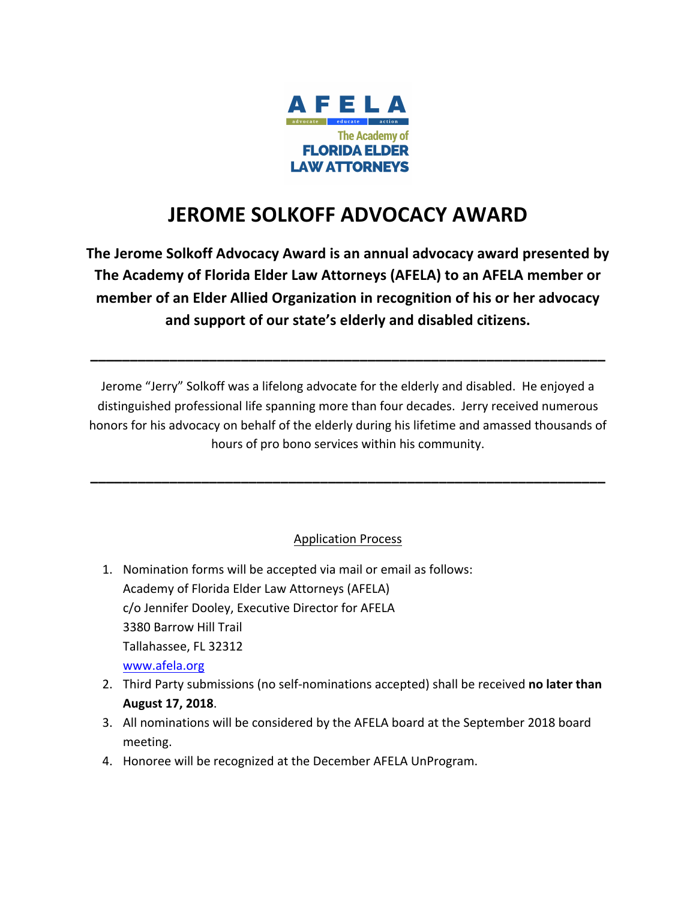

## **JEROME SOLKOFF ADVOCACY AWARD**

The Jerome Solkoff Advocacy Award is an annual advocacy award presented by The Academy of Florida Elder Law Attorneys (AFELA) to an AFELA member or **member of an Elder Allied Organization in recognition of his or her advocacy** and support of our state's elderly and disabled citizens.

Jerome "Jerry" Solkoff was a lifelong advocate for the elderly and disabled. He enjoyed a distinguished professional life spanning more than four decades. Jerry received numerous honors for his advocacy on behalf of the elderly during his lifetime and amassed thousands of hours of pro bono services within his community.

**\_\_\_\_\_\_\_\_\_\_\_\_\_\_\_\_\_\_\_\_\_\_\_\_\_\_\_\_\_\_\_\_\_\_\_\_\_\_\_\_\_\_\_\_\_\_\_\_\_\_\_\_\_\_\_\_\_\_\_\_\_\_\_\_\_**

## Application Process

**\_\_\_\_\_\_\_\_\_\_\_\_\_\_\_\_\_\_\_\_\_\_\_\_\_\_\_\_\_\_\_\_\_\_\_\_\_\_\_\_\_\_\_\_\_\_\_\_\_\_\_\_\_\_\_\_\_\_\_\_\_\_\_\_\_**

- 1. Nomination forms will be accepted via mail or email as follows: Academy of Florida Elder Law Attorneys (AFELA) c/o Jennifer Dooley, Executive Director for AFELA 3380 Barrow Hill Trail Tallahassee, FL 32312 www.afela.org
- 2. Third Party submissions (no self-nominations accepted) shall be received no later than **August 17, 2018**.
- 3. All nominations will be considered by the AFELA board at the September 2018 board meeting.
- 4. Honoree will be recognized at the December AFELA UnProgram.